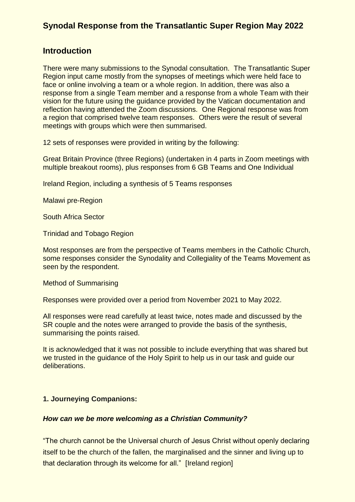### **Introduction**

There were many submissions to the Synodal consultation. The Transatlantic Super Region input came mostly from the synopses of meetings which were held face to face or online involving a team or a whole region. In addition, there was also a response from a single Team member and a response from a whole Team with their vision for the future using the guidance provided by the Vatican documentation and reflection having attended the Zoom discussions. One Regional response was from a region that comprised twelve team responses. Others were the result of several meetings with groups which were then summarised.

12 sets of responses were provided in writing by the following:

Great Britain Province (three Regions) (undertaken in 4 parts in Zoom meetings with multiple breakout rooms), plus responses from 6 GB Teams and One Individual

Ireland Region, including a synthesis of 5 Teams responses

Malawi pre-Region

South Africa Sector

Trinidad and Tobago Region

Most responses are from the perspective of Teams members in the Catholic Church, some responses consider the Synodality and Collegiality of the Teams Movement as seen by the respondent.

Method of Summarising

Responses were provided over a period from November 2021 to May 2022.

All responses were read carefully at least twice, notes made and discussed by the SR couple and the notes were arranged to provide the basis of the synthesis, summarising the points raised.

It is acknowledged that it was not possible to include everything that was shared but we trusted in the quidance of the Holy Spirit to help us in our task and guide our deliberations.

#### **1. Journeying Companions:**

#### *How can we be more welcoming as a Christian Community?*

"The church cannot be the Universal church of Jesus Christ without openly declaring itself to be the church of the fallen, the marginalised and the sinner and living up to that declaration through its welcome for all." [Ireland region]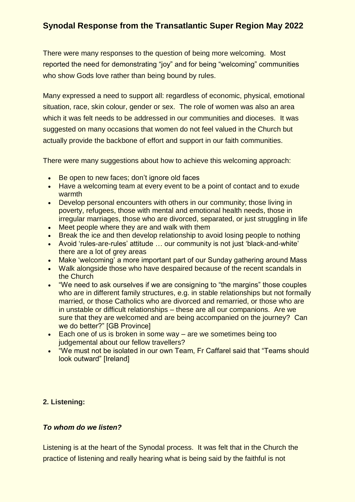There were many responses to the question of being more welcoming. Most reported the need for demonstrating "joy" and for being "welcoming" communities who show Gods love rather than being bound by rules.

Many expressed a need to support all: regardless of economic, physical, emotional situation, race, skin colour, gender or sex. The role of women was also an area which it was felt needs to be addressed in our communities and dioceses. It was suggested on many occasions that women do not feel valued in the Church but actually provide the backbone of effort and support in our faith communities.

There were many suggestions about how to achieve this welcoming approach:

- Be open to new faces; don't ignore old faces
- Have a welcoming team at every event to be a point of contact and to exude warmth
- Develop personal encounters with others in our community; those living in poverty, refugees, those with mental and emotional health needs, those in irregular marriages, those who are divorced, separated, or just struggling in life
- Meet people where they are and walk with them
- Break the ice and then develop relationship to avoid losing people to nothing
- Avoid 'rules-are-rules' attitude … our community is not just 'black-and-white' there are a lot of grey areas
- Make 'welcoming' a more important part of our Sunday gathering around Mass
- Walk alongside those who have despaired because of the recent scandals in the Church
- "We need to ask ourselves if we are consigning to "the margins" those couples who are in different family structures, e.g. in stable relationships but not formally married, or those Catholics who are divorced and remarried, or those who are in unstable or difficult relationships – these are all our companions. Are we sure that they are welcomed and are being accompanied on the journey? Can we do better?" [GB Province]
- Each one of us is broken in some way are we sometimes being too judgemental about our fellow travellers?
- "We must not be isolated in our own Team, Fr Caffarel said that "Teams should look outward" [Ireland]

### **2. Listening:**

### *To whom do we listen?*

Listening is at the heart of the Synodal process. It was felt that in the Church the practice of listening and really hearing what is being said by the faithful is not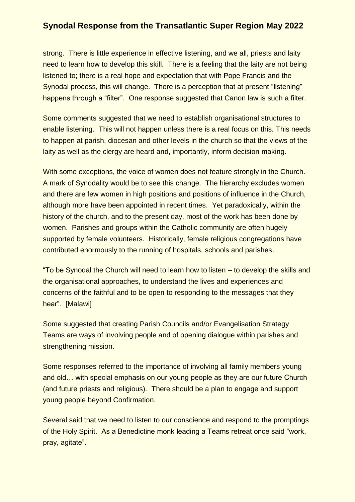strong. There is little experience in effective listening, and we all, priests and laity need to learn how to develop this skill. There is a feeling that the laity are not being listened to; there is a real hope and expectation that with Pope Francis and the Synodal process, this will change. There is a perception that at present "listening" happens through a "filter". One response suggested that Canon law is such a filter.

Some comments suggested that we need to establish organisational structures to enable listening. This will not happen unless there is a real focus on this. This needs to happen at parish, diocesan and other levels in the church so that the views of the laity as well as the clergy are heard and, importantly, inform decision making.

With some exceptions, the voice of women does not feature strongly in the Church. A mark of Synodality would be to see this change. The hierarchy excludes women and there are few women in high positions and positions of influence in the Church, although more have been appointed in recent times. Yet paradoxically, within the history of the church, and to the present day, most of the work has been done by women. Parishes and groups within the Catholic community are often hugely supported by female volunteers. Historically, female religious congregations have contributed enormously to the running of hospitals, schools and parishes.

"To be Synodal the Church will need to learn how to listen – to develop the skills and the organisational approaches, to understand the lives and experiences and concerns of the faithful and to be open to responding to the messages that they hear". [Malawi]

Some suggested that creating Parish Councils and/or Evangelisation Strategy Teams are ways of involving people and of opening dialogue within parishes and strengthening mission.

Some responses referred to the importance of involving all family members young and old… with special emphasis on our young people as they are our future Church (and future priests and religious). There should be a plan to engage and support young people beyond Confirmation.

Several said that we need to listen to our conscience and respond to the promptings of the Holy Spirit. As a Benedictine monk leading a Teams retreat once said "work, pray, agitate".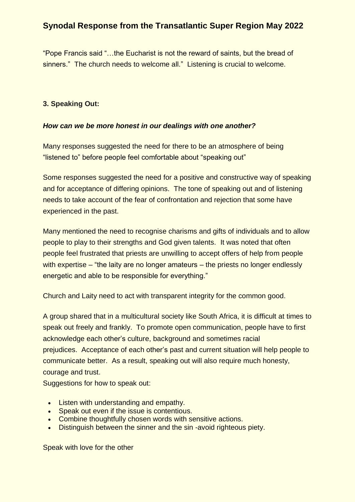"Pope Francis said "…the Eucharist is not the reward of saints, but the bread of sinners." The church needs to welcome all." Listening is crucial to welcome.

### **3. Speaking Out:**

#### *How can we be more honest in our dealings with one another?*

Many responses suggested the need for there to be an atmosphere of being "listened to" before people feel comfortable about "speaking out"

Some responses suggested the need for a positive and constructive way of speaking and for acceptance of differing opinions. The tone of speaking out and of listening needs to take account of the fear of confrontation and rejection that some have experienced in the past.

Many mentioned the need to recognise charisms and gifts of individuals and to allow people to play to their strengths and God given talents. It was noted that often people feel frustrated that priests are unwilling to accept offers of help from people with expertise – "the laity are no longer amateurs – the priests no longer endlessly energetic and able to be responsible for everything."

Church and Laity need to act with transparent integrity for the common good.

A group shared that in a multicultural society like South Africa, it is difficult at times to speak out freely and frankly. To promote open communication, people have to first acknowledge each other's culture, background and sometimes racial prejudices. Acceptance of each other's past and current situation will help people to communicate better. As a result, speaking out will also require much honesty, courage and trust.

Suggestions for how to speak out:

- Listen with understanding and empathy.
- Speak out even if the issue is contentious.
- Combine thoughtfully chosen words with sensitive actions.
- Distinguish between the sinner and the sin-avoid righteous piety.

Speak with love for the other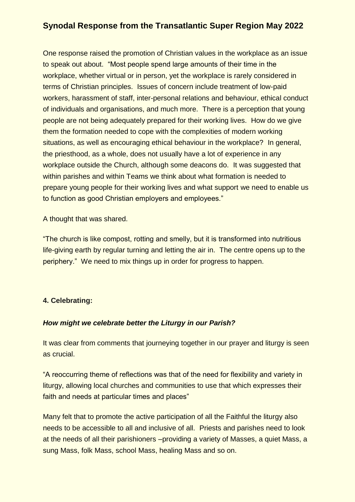One response raised the promotion of Christian values in the workplace as an issue to speak out about. "Most people spend large amounts of their time in the workplace, whether virtual or in person, yet the workplace is rarely considered in terms of Christian principles. Issues of concern include treatment of low-paid workers, harassment of staff, inter-personal relations and behaviour, ethical conduct of individuals and organisations, and much more. There is a perception that young people are not being adequately prepared for their working lives. How do we give them the formation needed to cope with the complexities of modern working situations, as well as encouraging ethical behaviour in the workplace? In general, the priesthood, as a whole, does not usually have a lot of experience in any workplace outside the Church, although some deacons do. It was suggested that within parishes and within Teams we think about what formation is needed to prepare young people for their working lives and what support we need to enable us to function as good Christian employers and employees."

A thought that was shared.

"The church is like compost, rotting and smelly, but it is transformed into nutritious life-giving earth by regular turning and letting the air in. The centre opens up to the periphery." We need to mix things up in order for progress to happen.

### **4. Celebrating:**

#### *How might we celebrate better the Liturgy in our Parish?*

It was clear from comments that journeying together in our prayer and liturgy is seen as crucial.

"A reoccurring theme of reflections was that of the need for flexibility and variety in liturgy, allowing local churches and communities to use that which expresses their faith and needs at particular times and places"

Many felt that to promote the active participation of all the Faithful the liturgy also needs to be accessible to all and inclusive of all. Priests and parishes need to look at the needs of all their parishioners –providing a variety of Masses, a quiet Mass, a sung Mass, folk Mass, school Mass, healing Mass and so on.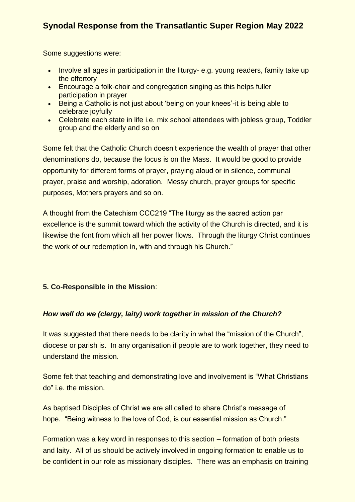Some suggestions were:

- Involve all ages in participation in the liturgy- e.g. young readers, family take up the offertory
- Encourage a folk-choir and congregation singing as this helps fuller participation in prayer
- Being a Catholic is not just about 'being on your knees'-it is being able to celebrate joyfully
- Celebrate each state in life i.e. mix school attendees with jobless group, Toddler group and the elderly and so on

Some felt that the Catholic Church doesn't experience the wealth of prayer that other denominations do, because the focus is on the Mass. It would be good to provide opportunity for different forms of prayer, praying aloud or in silence, communal prayer, praise and worship, adoration. Messy church, prayer groups for specific purposes, Mothers prayers and so on.

A thought from the Catechism CCC219 "The liturgy as the sacred action par excellence is the summit toward which the activity of the Church is directed, and it is likewise the font from which all her power flows. Through the liturgy Christ continues the work of our redemption in, with and through his Church."

### **5. Co-Responsible in the Mission**:

### *How well do we (clergy, laity) work together in mission of the Church?*

It was suggested that there needs to be clarity in what the "mission of the Church", diocese or parish is. In any organisation if people are to work together, they need to understand the mission.

Some felt that teaching and demonstrating love and involvement is "What Christians do" i.e. the mission.

As baptised Disciples of Christ we are all called to share Christ's message of hope. "Being witness to the love of God, is our essential mission as Church."

Formation was a key word in responses to this section – formation of both priests and laity. All of us should be actively involved in ongoing formation to enable us to be confident in our role as missionary disciples. There was an emphasis on training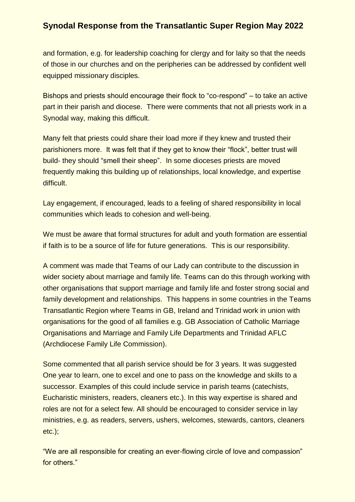and formation, e.g. for leadership coaching for clergy and for laity so that the needs of those in our churches and on the peripheries can be addressed by confident well equipped missionary disciples.

Bishops and priests should encourage their flock to "co-respond" – to take an active part in their parish and diocese. There were comments that not all priests work in a Synodal way, making this difficult.

Many felt that priests could share their load more if they knew and trusted their parishioners more. It was felt that if they get to know their "flock", better trust will build- they should "smell their sheep". In some dioceses priests are moved frequently making this building up of relationships, local knowledge, and expertise difficult.

Lay engagement, if encouraged, leads to a feeling of shared responsibility in local communities which leads to cohesion and well-being.

We must be aware that formal structures for adult and youth formation are essential if faith is to be a source of life for future generations. This is our responsibility.

A comment was made that Teams of our Lady can contribute to the discussion in wider society about marriage and family life. Teams can do this through working with other organisations that support marriage and family life and foster strong social and family development and relationships. This happens in some countries in the Teams Transatlantic Region where Teams in GB, Ireland and Trinidad work in union with organisations for the good of all families e.g. GB Association of Catholic Marriage Organisations and Marriage and Family Life Departments and Trinidad AFLC (Archdiocese Family Life Commission).

Some commented that all parish service should be for 3 years. It was suggested One year to learn, one to excel and one to pass on the knowledge and skills to a successor. Examples of this could include service in parish teams (catechists, Eucharistic ministers, readers, cleaners etc.). In this way expertise is shared and roles are not for a select few. All should be encouraged to consider service in lay ministries, e.g. as readers, servers, ushers, welcomes, stewards, cantors, cleaners etc.);

"We are all responsible for creating an ever-flowing circle of love and compassion" for others."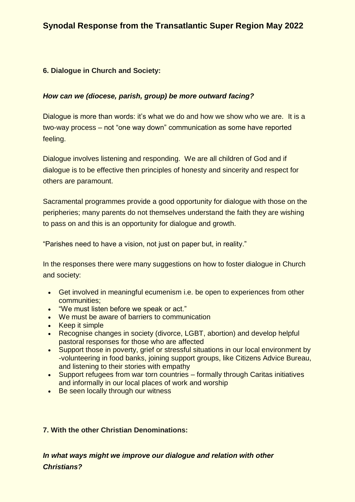#### **6. Dialogue in Church and Society:**

#### *How can we (diocese, parish, group) be more outward facing?*

Dialogue is more than words: it's what we do and how we show who we are. It is a two-way process – not "one way down" communication as some have reported feeling.

Dialogue involves listening and responding. We are all children of God and if dialogue is to be effective then principles of honesty and sincerity and respect for others are paramount.

Sacramental programmes provide a good opportunity for dialogue with those on the peripheries; many parents do not themselves understand the faith they are wishing to pass on and this is an opportunity for dialogue and growth.

"Parishes need to have a vision, not just on paper but, in reality."

In the responses there were many suggestions on how to foster dialogue in Church and society:

- Get involved in meaningful ecumenism i.e. be open to experiences from other communities;
- "We must listen before we speak or act."
- We must be aware of barriers to communication
- Keep it simple
- Recognise changes in society (divorce, LGBT, abortion) and develop helpful pastoral responses for those who are affected
- Support those in poverty, grief or stressful situations in our local environment by -volunteering in food banks, joining support groups, like Citizens Advice Bureau, and listening to their stories with empathy
- Support refugees from war torn countries formally through Caritas initiatives and informally in our local places of work and worship
- Be seen locally through our witness

#### **7. With the other Christian Denominations:**

*In what ways might we improve our dialogue and relation with other Christians?*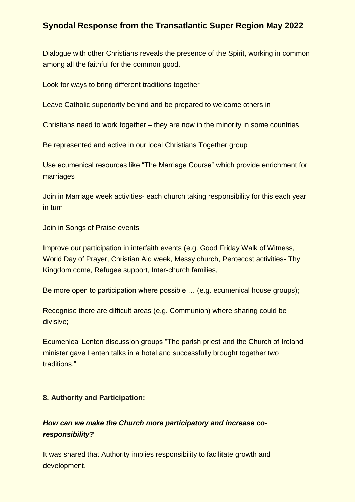Dialogue with other Christians reveals the presence of the Spirit, working in common among all the faithful for the common good.

Look for ways to bring different traditions together

Leave Catholic superiority behind and be prepared to welcome others in

Christians need to work together – they are now in the minority in some countries

Be represented and active in our local Christians Together group

Use ecumenical resources like "The Marriage Course" which provide enrichment for marriages

Join in Marriage week activities- each church taking responsibility for this each year in turn

Join in Songs of Praise events

Improve our participation in interfaith events (e.g. Good Friday Walk of Witness, World Day of Prayer, Christian Aid week, Messy church, Pentecost activities- Thy Kingdom come, Refugee support, Inter-church families,

Be more open to participation where possible … (e.g. ecumenical house groups);

Recognise there are difficult areas (e.g. Communion) where sharing could be divisive;

Ecumenical Lenten discussion groups "The parish priest and the Church of Ireland minister gave Lenten talks in a hotel and successfully brought together two traditions."

#### **8. Authority and Participation:**

### *How can we make the Church more participatory and increase coresponsibility?*

It was shared that Authority implies responsibility to facilitate growth and development.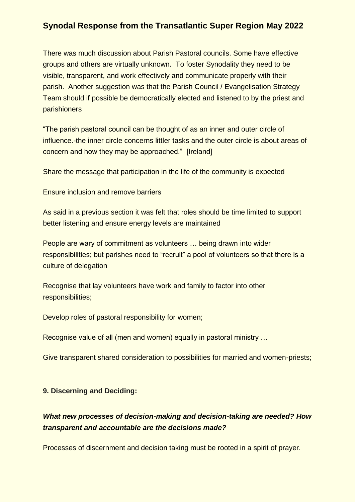There was much discussion about Parish Pastoral councils. Some have effective groups and others are virtually unknown. To foster Synodality they need to be visible, transparent, and work effectively and communicate properly with their parish. Another suggestion was that the Parish Council / Evangelisation Strategy Team should if possible be democratically elected and listened to by the priest and parishioners

"The parish pastoral council can be thought of as an inner and outer circle of influence.-the inner circle concerns littler tasks and the outer circle is about areas of concern and how they may be approached." [Ireland]

Share the message that participation in the life of the community is expected

Ensure inclusion and remove barriers

As said in a previous section it was felt that roles should be time limited to support better listening and ensure energy levels are maintained

People are wary of commitment as volunteers … being drawn into wider responsibilities; but parishes need to "recruit" a pool of volunteers so that there is a culture of delegation

Recognise that lay volunteers have work and family to factor into other responsibilities;

Develop roles of pastoral responsibility for women;

Recognise value of all (men and women) equally in pastoral ministry …

Give transparent shared consideration to possibilities for married and women-priests;

#### **9. Discerning and Deciding:**

### *What new processes of decision-making and decision-taking are needed? How transparent and accountable are the decisions made?*

Processes of discernment and decision taking must be rooted in a spirit of prayer.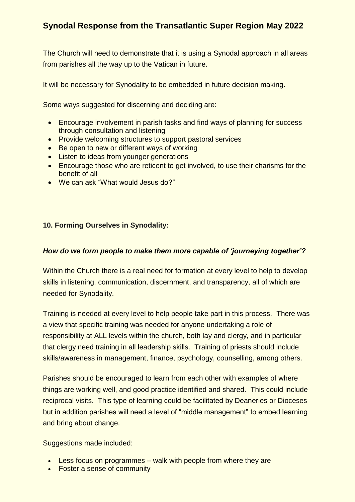The Church will need to demonstrate that it is using a Synodal approach in all areas from parishes all the way up to the Vatican in future.

It will be necessary for Synodality to be embedded in future decision making.

Some ways suggested for discerning and deciding are:

- Encourage involvement in parish tasks and find ways of planning for success through consultation and listening
- Provide welcoming structures to support pastoral services
- Be open to new or different ways of working
- Listen to ideas from younger generations
- **Encourage those who are reticent to get involved, to use their charisms for the** benefit of all
- We can ask "What would Jesus do?"

#### **10. Forming Ourselves in Synodality:**

#### *How do we form people to make them more capable of 'journeying together'?*

Within the Church there is a real need for formation at every level to help to develop skills in listening, communication, discernment, and transparency, all of which are needed for Synodality.

Training is needed at every level to help people take part in this process. There was a view that specific training was needed for anyone undertaking a role of responsibility at ALL levels within the church, both lay and clergy, and in particular that clergy need training in all leadership skills. Training of priests should include skills/awareness in management, finance, psychology, counselling, among others.

Parishes should be encouraged to learn from each other with examples of where things are working well, and good practice identified and shared. This could include reciprocal visits. This type of learning could be facilitated by Deaneries or Dioceses but in addition parishes will need a level of "middle management" to embed learning and bring about change.

Suggestions made included:

- Less focus on programmes walk with people from where they are
- Foster a sense of community